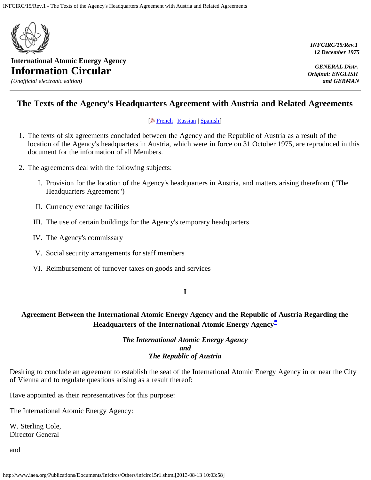

**International Atomic Energy Agency Information Circular**

*(Unofficial electronic edition)*

*INFCIRC/15/Rev.1 12 December 1975*

*GENERAL Distr. Original: ENGLISH and GERMAN*

# **The Texts of the Agency's Headquarters Agreement with Austria and Related Agreements**

[ [French](http://www.iaea.org/Publications/Documents/Infcircs/Others/French/infcirc15r1_fr.pdf) | [Russian](http://www.iaea.org/Publications/Documents/Infcircs/Others/Russian/infcirc15r1_rus.pdf) | [Spanish\]](http://www.iaea.org/Publications/Documents/Infcircs/Others/Spanish/infcirc15r1_sp.pdf)

- 1. The texts of six agreements concluded between the Agency and the Republic of Austria as a result of the location of the Agency's headquarters in Austria, which were in force on 31 October 1975, are reproduced in this document for the information of all Members.
- 2. The agreements deal with the following subjects:
	- I. Provision for the location of the Agency's headquarters in Austria, and matters arising therefrom ("The Headquarters Agreement")
	- II. Currency exchange facilities
	- III. The use of certain buildings for the Agency's temporary headquarters
	- IV. The Agency's commissary
	- V. Social security arrangements for staff members
	- VI. Reimbursement of turnover taxes on goods and services

#### **I**

# **Agreement Between the International Atomic Energy Agency and the Republic of Austria Regarding the Headquarters of the International Atomic Energy Agency[\\*](#page-28-0)**

## *The International Atomic Energy Agency and The Republic of Austria*

Desiring to conclude an agreement to establish the seat of the International Atomic Energy Agency in or near the City of Vienna and to regulate questions arising as a result thereof:

Have appointed as their representatives for this purpose:

The International Atomic Energy Agency:

W. Sterling Cole, Director General

and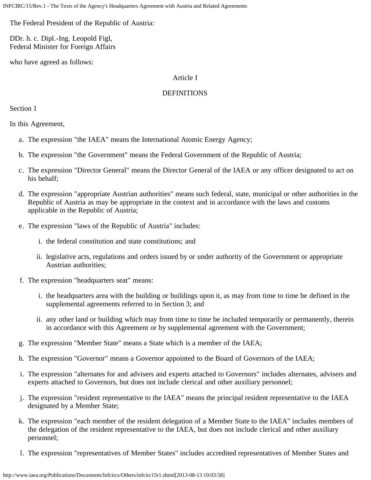The Federal President of the Republic of Austria:

DDr. h. c. Dipl.-Ing. Leopold Figl, Federal Minister for Foreign Affairs

who have agreed as follows:

#### Article I

#### DEFINITIONS

Section 1

In this Agreement,

- a. The expression "the IAEA" means the International Atomic Energy Agency;
- b. The expression "the Government" means the Federal Government of the Republic of Austria;
- c. The expression "Director General" means the Director General of the IAEA or any officer designated to act on his behalf;
- d. The expression "appropriate Austrian authorities" means such federal, state, municipal or other authorities in the Republic of Austria as may be appropriate in the context and in accordance with the laws and customs applicable in the Republic of Austria;
- e. The expression "laws of the Republic of Austria" includes:
	- i. the federal constitution and state constitutions; and
	- ii. legislative acts, regulations and orders issued by or under authority of the Government or appropriate Austrian authorities;
- f. The expression "headquarters seat" means:
	- i. the headquarters area with the building or buildings upon it, as may from time to time be defined in the supplemental agreements referred to in Section 3; and
	- ii. any other land or building which may from time to time be included temporarily or permanently, therein in accordance with this Agreement or by supplemental agreement with the Government;
- g. The expression "Member State" means a State which is a member of the IAEA;
- h. The expression "Governor" means a Governor appointed to the Board of Governors of the IAEA;
- i. The expression "alternates for and advisers and experts attached to Governors" includes alternates, advisers and experts attached to Governors, but does not include clerical and other auxiliary personnel;
- j. The expression "resident representative to the IAEA" means the principal resident representative to the IAEA designated by a Member State;
- k. The expression "each member of the resident delegation of a Member State to the IAEA" includes members of the delegation of the resident representative to the IAEA, but does not include clerical and other auxiliary personnel;
- l. The expression "representatives of Member States" includes accredited representatives of Member States and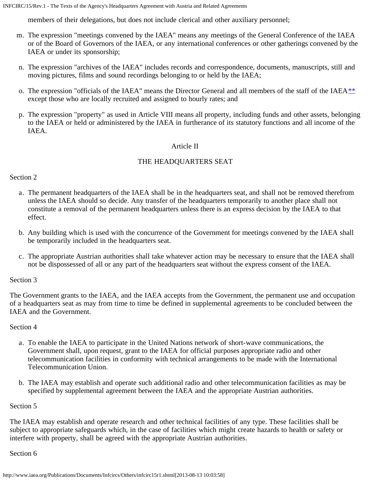members of their delegations, but does not include clerical and other auxiliary personnel;

- m. The expression "meetings convened by the IAEA" means any meetings of the General Conference of the IAEA or of the Board of Governors of the IAEA, or any international conferences or other gatherings convened by the IAEA or under its sponsorship;
- n. The expression "archives of the IAEA" includes records and correspondence, documents, manuscripts, still and moving pictures, films and sound recordings belonging to or held by the IAEA;
- o. The expression "officials of the IAEA" means the Director General and all members of the staff of the IAEA $**$ except those who are locally recruited and assigned to hourly rates; and
- p. The expression "property" as used in Article VIII means all property, including funds and other assets, belonging to the IAEA or held or administered by the IAEA in furtherance of its statutory functions and all income of the IAEA.

#### Article II

### THE HEADQUARTERS SEAT

#### Section 2

- a. The permanent headquarters of the IAEA shall be in the headquarters seat, and shall not be removed therefrom unless the IAEA should so decide. Any transfer of the headquarters temporarily to another place shall not constitute a removal of the permanent headquarters unless there is an express decision by the IAEA to that effect.
- b. Any building which is used with the concurrence of the Government for meetings convened by the IAEA shall be temporarily included in the headquarters seat.
- c. The appropriate Austrian authorities shall take whatever action may be necessary to ensure that the IAEA shall not be dispossessed of all or any part of the headquarters seat without the express consent of the IAEA.

#### Section 3

The Government grants to the IAEA, and the IAEA accepts from the Government, the permanent use and occupation of a headquarters seat as may from time to time be defined in supplemental agreements to be concluded between the IAEA and the Government.

#### Section 4

- a. To enable the IAEA to participate in the United Nations network of short-wave communications, the Government shall, upon request, grant to the IAEA for official purposes appropriate radio and other telecommunication facilities in conformity with technical arrangements to be made with the International Telecommunication Union.
- b. The IAEA may establish and operate such additional radio and other telecommunication facilities as may be specified by supplemental agreement between the IAEA and the appropriate Austrian authorities.

#### Section 5

The IAEA may establish and operate research and other technical facilities of any type. These facilities shall be subject to appropriate safeguards which, in the case of facilities which might create hazards to health or safety or interfere with property, shall be agreed with the appropriate Austrian authorities.

#### Section 6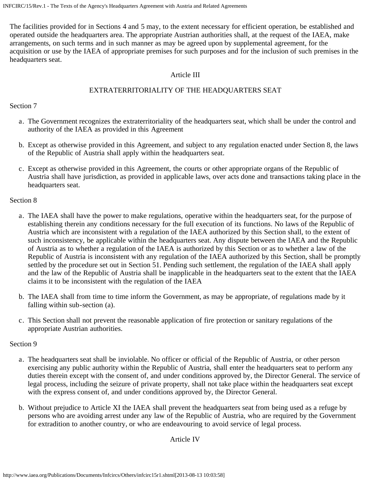The facilities provided for in Sections 4 and 5 may, to the extent necessary for efficient operation, be established and operated outside the headquarters area. The appropriate Austrian authorities shall, at the request of the IAEA, make arrangements, on such terms and in such manner as may be agreed upon by supplemental agreement, for the acquisition or use by the IAEA of appropriate premises for such purposes and for the inclusion of such premises in the headquarters seat.

## Article III

# EXTRATERRITORIALITY OF THE HEADQUARTERS SEAT

### Section 7

- a. The Government recognizes the extraterritoriality of the headquarters seat, which shall be under the control and authority of the IAEA as provided in this Agreement
- b. Except as otherwise provided in this Agreement, and subject to any regulation enacted under Section 8, the laws of the Republic of Austria shall apply within the headquarters seat.
- c. Except as otherwise provided in this Agreement, the courts or other appropriate organs of the Republic of Austria shall have jurisdiction, as provided in applicable laws, over acts done and transactions taking place in the headquarters seat.

### Section 8

- a. The IAEA shall have the power to make regulations, operative within the headquarters seat, for the purpose of establishing therein any conditions necessary for the full execution of its functions. No laws of the Republic of Austria which are inconsistent with a regulation of the IAEA authorized by this Section shall, to the extent of such inconsistency, be applicable within the headquarters seat. Any dispute between the IAEA and the Republic of Austria as to whether a regulation of the IAEA is authorized by this Section or as to whether a law of the Republic of Austria is inconsistent with any regulation of the IAEA authorized by this Section, shall be promptly settled by the procedure set out in Section 51. Pending such settlement, the regulation of the IAEA shall apply and the law of the Republic of Austria shall be inapplicable in the headquarters seat to the extent that the IAEA claims it to be inconsistent with the regulation of the IAEA
- b. The IAEA shall from time to time inform the Government, as may be appropriate, of regulations made by it falling within sub-section (a).
- c. This Section shall not prevent the reasonable application of fire protection or sanitary regulations of the appropriate Austrian authorities.

## Section 9

- a. The headquarters seat shall be inviolable. No officer or official of the Republic of Austria, or other person exercising any public authority within the Republic of Austria, shall enter the headquarters seat to perform any duties therein except with the consent of, and under conditions approved by, the Director General. The service of legal process, including the seizure of private property, shall not take place within the headquarters seat except with the express consent of, and under conditions approved by, the Director General.
- b. Without prejudice to Article XI the IAEA shall prevent the headquarters seat from being used as a refuge by persons who are avoiding arrest under any law of the Republic of Austria, who are required by the Government for extradition to another country, or who are endeavouring to avoid service of legal process.

#### Article IV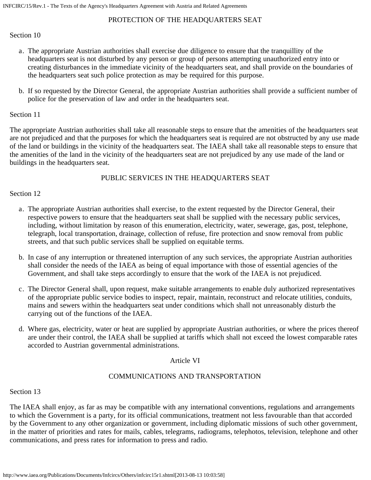# PROTECTION OF THE HEADQUARTERS SEAT

#### Section 10

- a. The appropriate Austrian authorities shall exercise due diligence to ensure that the tranquillity of the headquarters seat is not disturbed by any person or group of persons attempting unauthorized entry into or creating disturbances in the immediate vicinity of the headquarters seat, and shall provide on the boundaries of the headquarters seat such police protection as may be required for this purpose.
- b. If so requested by the Director General, the appropriate Austrian authorities shall provide a sufficient number of police for the preservation of law and order in the headquarters seat.

#### Section 11

The appropriate Austrian authorities shall take all reasonable steps to ensure that the amenities of the headquarters seat are not prejudiced and that the purposes for which the headquarters seat is required are not obstructed by any use made of the land or buildings in the vicinity of the headquarters seat. The IAEA shall take all reasonable steps to ensure that the amenities of the land in the vicinity of the headquarters seat are not prejudiced by any use made of the land or buildings in the headquarters seat.

## PUBLIC SERVICES IN THE HEADQUARTERS SEAT

### Section 12

- a. The appropriate Austrian authorities shall exercise, to the extent requested by the Director General, their respective powers to ensure that the headquarters seat shall be supplied with the necessary public services, including, without limitation by reason of this enumeration, electricity, water, sewerage, gas, post, telephone, telegraph, local transportation, drainage, collection of refuse, fire protection and snow removal from public streets, and that such public services shall be supplied on equitable terms.
- b. In case of any interruption or threatened interruption of any such services, the appropriate Austrian authorities shall consider the needs of the IAEA as being of equal importance with those of essential agencies of the Government, and shall take steps accordingly to ensure that the work of the IAEA is not prejudiced.
- c. The Director General shall, upon request, make suitable arrangements to enable duly authorized representatives of the appropriate public service bodies to inspect, repair, maintain, reconstruct and relocate utilities, conduits, mains and sewers within the headquarters seat under conditions which shall not unreasonably disturb the carrying out of the functions of the IAEA.
- d. Where gas, electricity, water or heat are supplied by appropriate Austrian authorities, or where the prices thereof are under their control, the IAEA shall be supplied at tariffs which shall not exceed the lowest comparable rates accorded to Austrian governmental administrations.

### Article VI

#### COMMUNICATIONS AND TRANSPORTATION

## Section 13

The IAEA shall enjoy, as far as may be compatible with any international conventions, regulations and arrangements to which the Government is a party, for its official communications, treatment not less favourable than that accorded by the Government to any other organization or government, including diplomatic missions of such other government, in the matter of priorities and rates for mails, cables, telegrams, radiograms, telephotos, television, telephone and other communications, and press rates for information to press and radio.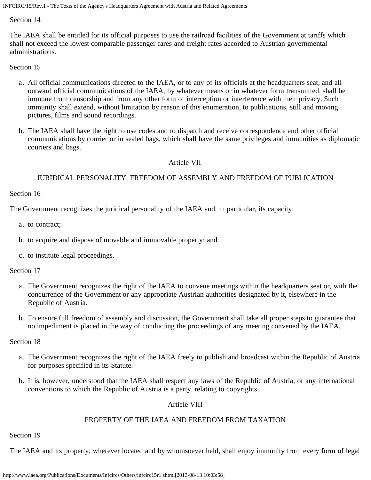Section 14

The IAEA shall be entitled for its official purposes to use the railroad facilities of the Government at tariffs which shall not exceed the lowest comparable passenger fares and freight rates accorded to Austrian governmental administrations.

Section 15

- a. All official communications directed to the IAEA, or to any of its officials at the headquarters seat, and all outward official communications of the IAEA, by whatever means or in whatever form transmitted, shall be immune from censorship and from any other form of interception or interference with their privacy. Such immunity shall extend, without limitation by reason of this enumeration, to publications, still and moving pictures, films and sound recordings.
- b. The IAEA shall have the right to use codes and to dispatch and receive correspondence and other official communications by courier or in sealed bags, which shall have the same privileges and immunities as diplomatic couriers and bags.

# Article VII

# JURIDICAL PERSONALITY, FREEDOM OF ASSEMBLY AND FREEDOM OF PUBLICATION

Section 16

The Government recognizes the juridical personality of the IAEA and, in particular, its capacity:

- a. to contract;
- b. to acquire and dispose of movable and immovable property; and
- c. to institute legal proceedings.

## Section 17

- a. The Government recognizes the right of the IAEA to convene meetings within the headquarters seat or, with the concurrence of the Government or any appropriate Austrian authorities designated by it, elsewhere in the Republic of Austria.
- b. To ensure full freedom of assembly and discussion, the Government shall take all proper steps to guarantee that no impediment is placed in the way of conducting the proceedings of any meeting convened by the IAEA.

## Section 18

- a. The Government recognizes the right of the IAEA freely to publish and broadcast within the Republic of Austria for purposes specified in its Statute.
- b. It is, however, understood that the IAEA shall respect any laws of the Republic of Austria, or any international conventions to which the Republic of Austria is a party, relating to copyrights.

# Article VIII

# PROPERTY OF THE IAEA AND FREEDOM FROM TAXATION

Section 19

The IAEA and its property, wherever located and by whomsoever held, shall enjoy immunity from every form of legal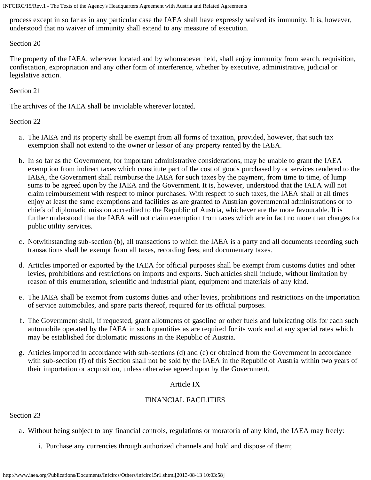process except in so far as in any particular case the IAEA shall have expressly waived its immunity. It is, however, understood that no waiver of immunity shall extend to any measure of execution.

Section 20

The property of the IAEA, wherever located and by whomsoever held, shall enjoy immunity from search, requisition, confiscation, expropriation and any other form of interference, whether by executive, administrative, judicial or legislative action.

Section 21

The archives of the IAEA shall be inviolable wherever located.

## Section 22

- a. The IAEA and its property shall be exempt from all forms of taxation, provided, however, that such tax exemption shall not extend to the owner or lessor of any property rented by the IAEA.
- b. In so far as the Government, for important administrative considerations, may be unable to grant the IAEA exemption from indirect taxes which constitute part of the cost of goods purchased by or services rendered to the IAEA, the Government shall reimburse the IAEA for such taxes by the payment, from time to time, of lump sums to be agreed upon by the IAEA and the Government. It is, however, understood that the IAEA will not claim reimbursement with respect to minor purchases. With respect to such taxes, the IAEA shall at all times enjoy at least the same exemptions and facilities as are granted to Austrian governmental administrations or to chiefs of diplomatic mission accredited to the Republic of Austria, whichever are the more favourable. It is further understood that the IAEA will not claim exemption from taxes which are in fact no more than charges for public utility services.
- c. Notwithstanding sub-section (b), all transactions to which the IAEA is a party and all documents recording such transactions shall be exempt from all taxes, recording fees, and documentary taxes.
- d. Articles imported or exported by the IAEA for official purposes shall be exempt from customs duties and other levies, prohibitions and restrictions on imports and exports. Such articles shall include, without limitation by reason of this enumeration, scientific and industrial plant, equipment and materials of any kind.
- e. The IAEA shall be exempt from customs duties and other levies, prohibitions and restrictions on the importation of service automobiles, and spare parts thereof, required for its official purposes.
- f. The Government shall, if requested, grant allotments of gasoline or other fuels and lubricating oils for each such automobile operated by the IAEA in such quantities as are required for its work and at any special rates which may be established for diplomatic missions in the Republic of Austria.
- g. Articles imported in accordance with sub-sections (d) and (e) or obtained from the Government in accordance with sub-section (f) of this Section shall not be sold by the IAEA in the Republic of Austria within two years of their importation or acquisition, unless otherwise agreed upon by the Government.

# Article IX

# FINANCIAL FACILITIES

# Section 23

- a. Without being subject to any financial controls, regulations or moratoria of any kind, the IAEA may freely:
	- i. Purchase any currencies through authorized channels and hold and dispose of them;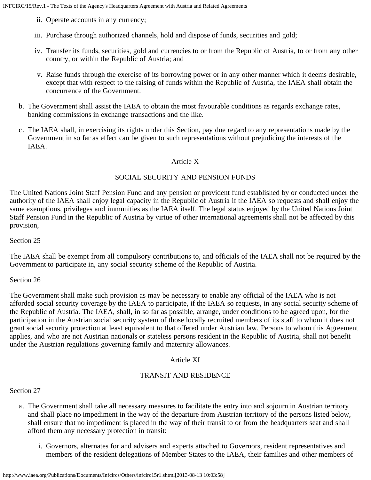- ii. Operate accounts in any currency;
- iii. Purchase through authorized channels, hold and dispose of funds, securities and gold;
- iv. Transfer its funds, securities, gold and currencies to or from the Republic of Austria, to or from any other country, or within the Republic of Austria; and
- v. Raise funds through the exercise of its borrowing power or in any other manner which it deems desirable, except that with respect to the raising of funds within the Republic of Austria, the IAEA shall obtain the concurrence of the Government.
- b. The Government shall assist the IAEA to obtain the most favourable conditions as regards exchange rates, banking commissions in exchange transactions and the like.
- c. The IAEA shall, in exercising its rights under this Section, pay due regard to any representations made by the Government in so far as effect can be given to such representations without prejudicing the interests of the IAEA.

#### Article X

#### SOCIAL SECURITY AND PENSION FUNDS

The United Nations Joint Staff Pension Fund and any pension or provident fund established by or conducted under the authority of the IAEA shall enjoy legal capacity in the Republic of Austria if the IAEA so requests and shall enjoy the same exemptions, privileges and immunities as the IAEA itself. The legal status enjoyed by the United Nations Joint Staff Pension Fund in the Republic of Austria by virtue of other international agreements shall not be affected by this provision,

Section 25

The IAEA shall be exempt from all compulsory contributions to, and officials of the IAEA shall not be required by the Government to participate in, any social security scheme of the Republic of Austria.

Section 26

The Government shall make such provision as may be necessary to enable any official of the IAEA who is not afforded social security coverage by the IAEA to participate, if the IAEA so requests, in any social security scheme of the Republic of Austria. The IAEA, shall, in so far as possible, arrange, under conditions to be agreed upon, for the participation in the Austrian social security system of those locally recruited members of its staff to whom it does not grant social security protection at least equivalent to that offered under Austrian law. Persons to whom this Agreement applies, and who are not Austrian nationals or stateless persons resident in the Republic of Austria, shall not benefit under the Austrian regulations governing family and maternity allowances.

#### Article XI

#### TRANSIT AND RESIDENCE

Section 27

- a. The Government shall take all necessary measures to facilitate the entry into and sojourn in Austrian territory and shall place no impediment in the way of the departure from Austrian territory of the persons listed below, shall ensure that no impediment is placed in the way of their transit to or from the headquarters seat and shall afford them any necessary protection in transit:
	- i. Governors, alternates for and advisers and experts attached to Governors, resident representatives and members of the resident delegations of Member States to the IAEA, their families and other members of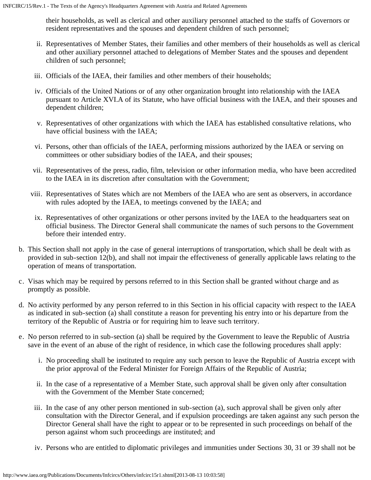their households, as well as clerical and other auxiliary personnel attached to the staffs of Governors or resident representatives and the spouses and dependent children of such personnel;

- ii. Representatives of Member States, their families and other members of their households as well as clerical and other auxiliary personnel attached to delegations of Member States and the spouses and dependent children of such personnel;
- iii. Officials of the IAEA, their families and other members of their households;
- iv. Officials of the United Nations or of any other organization brought into relationship with the IAEA pursuant to Article XVI.A of its Statute, who have official business with the IAEA, and their spouses and dependent children;
- v. Representatives of other organizations with which the IAEA has established consultative relations, who have official business with the IAEA;
- vi. Persons, other than officials of the IAEA, performing missions authorized by the IAEA or serving on committees or other subsidiary bodies of the IAEA, and their spouses;
- vii. Representatives of the press, radio, film, television or other information media, who have been accredited to the IAEA in its discretion after consultation with the Government;
- viii. Representatives of States which are not Members of the IAEA who are sent as observers, in accordance with rules adopted by the IAEA, to meetings convened by the IAEA; and
	- ix. Representatives of other organizations or other persons invited by the IAEA to the headquarters seat on official business. The Director General shall communicate the names of such persons to the Government before their intended entry.
- b. This Section shall not apply in the case of general interruptions of transportation, which shall be dealt with as provided in sub-section 12(b), and shall not impair the effectiveness of generally applicable laws relating to the operation of means of transportation.
- c. Visas which may be required by persons referred to in this Section shall be granted without charge and as promptly as possible.
- d. No activity performed by any person referred to in this Section in his official capacity with respect to the IAEA as indicated in sub-section (a) shall constitute a reason for preventing his entry into or his departure from the territory of the Republic of Austria or for requiring him to leave such territory.
- e. No person referred to in sub-section (a) shall be required by the Government to leave the Republic of Austria save in the event of an abuse of the right of residence, in which case the following procedures shall apply:
	- i. No proceeding shall be instituted to require any such person to leave the Republic of Austria except with the prior approval of the Federal Minister for Foreign Affairs of the Republic of Austria;
	- ii. In the case of a representative of a Member State, such approval shall be given only after consultation with the Government of the Member State concerned:
	- iii. In the case of any other person mentioned in sub-section (a), such approval shall be given only after consultation with the Director General, and if expulsion proceedings are taken against any such person the Director General shall have the right to appear or to be represented in such proceedings on behalf of the person against whom such proceedings are instituted; and
	- iv. Persons who are entitled to diplomatic privileges and immunities under Sections 30, 31 or 39 shall not be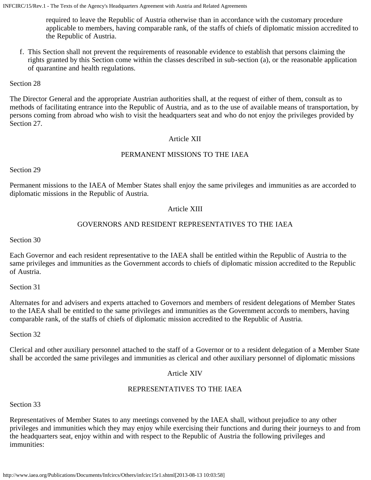required to leave the Republic of Austria otherwise than in accordance with the customary procedure applicable to members, having comparable rank, of the staffs of chiefs of diplomatic mission accredited to the Republic of Austria.

f. This Section shall not prevent the requirements of reasonable evidence to establish that persons claiming the rights granted by this Section come within the classes described in sub-section (a), or the reasonable application of quarantine and health regulations.

Section 28

The Director General and the appropriate Austrian authorities shall, at the request of either of them, consult as to methods of facilitating entrance into the Republic of Austria, and as to the use of available means of transportation, by persons coming from abroad who wish to visit the headquarters seat and who do not enjoy the privileges provided by Section 27.

#### Article XII

## PERMANENT MISSIONS TO THE IAEA

Section 29

Permanent missions to the IAEA of Member States shall enjoy the same privileges and immunities as are accorded to diplomatic missions in the Republic of Austria.

#### Article XIII

#### GOVERNORS AND RESIDENT REPRESENTATIVES TO THE IAEA

Section 30

Each Governor and each resident representative to the IAEA shall be entitled within the Republic of Austria to the same privileges and immunities as the Government accords to chiefs of diplomatic mission accredited to the Republic of Austria.

Section 31

Alternates for and advisers and experts attached to Governors and members of resident delegations of Member States to the IAEA shall be entitled to the same privileges and immunities as the Government accords to members, having comparable rank, of the staffs of chiefs of diplomatic mission accredited to the Republic of Austria.

Section 32

Clerical and other auxiliary personnel attached to the staff of a Governor or to a resident delegation of a Member State shall be accorded the same privileges and immunities as clerical and other auxiliary personnel of diplomatic missions

Article XIV

#### REPRESENTATIVES TO THE IAEA

Section 33

Representatives of Member States to any meetings convened by the IAEA shall, without prejudice to any other privileges and immunities which they may enjoy while exercising their functions and during their journeys to and from the headquarters seat, enjoy within and with respect to the Republic of Austria the following privileges and immunities: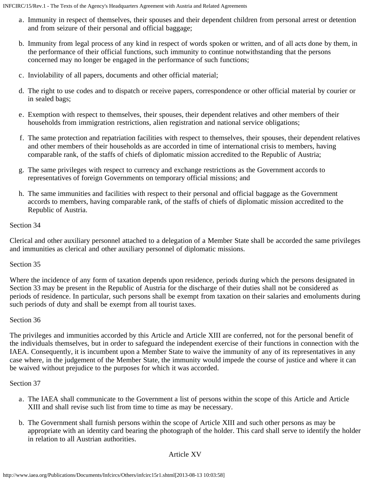- a. Immunity in respect of themselves, their spouses and their dependent children from personal arrest or detention and from seizure of their personal and official baggage;
- b. Immunity from legal process of any kind in respect of words spoken or written, and of all acts done by them, in the performance of their official functions, such immunity to continue notwithstanding that the persons concerned may no longer be engaged in the performance of such functions;
- c. Inviolability of all papers, documents and other official material;
- d. The right to use codes and to dispatch or receive papers, correspondence or other official material by courier or in sealed bags;
- e. Exemption with respect to themselves, their spouses, their dependent relatives and other members of their households from immigration restrictions, alien registration and national service obligations;
- f. The same protection and repatriation facilities with respect to themselves, their spouses, their dependent relatives and other members of their households as are accorded in time of international crisis to members, having comparable rank, of the staffs of chiefs of diplomatic mission accredited to the Republic of Austria;
- g. The same privileges with respect to currency and exchange restrictions as the Government accords to representatives of foreign Governments on temporary official missions; and
- h. The same immunities and facilities with respect to their personal and official baggage as the Government accords to members, having comparable rank, of the staffs of chiefs of diplomatic mission accredited to the Republic of Austria.

## Section 34

Clerical and other auxiliary personnel attached to a delegation of a Member State shall be accorded the same privileges and immunities as clerical and other auxiliary personnel of diplomatic missions.

## Section 35

Where the incidence of any form of taxation depends upon residence, periods during which the persons designated in Section 33 may be present in the Republic of Austria for the discharge of their duties shall not be considered as periods of residence. In particular, such persons shall be exempt from taxation on their salaries and emoluments during such periods of duty and shall be exempt from all tourist taxes.

## Section 36

The privileges and immunities accorded by this Article and Article XIII are conferred, not for the personal benefit of the individuals themselves, but in order to safeguard the independent exercise of their functions in connection with the IAEA. Consequently, it is incumbent upon a Member State to waive the immunity of any of its representatives in any case where, in the judgement of the Member State, the immunity would impede the course of justice and where it can be waived without prejudice to the purposes for which it was accorded.

## Section 37

- a. The IAEA shall communicate to the Government a list of persons within the scope of this Article and Article XIII and shall revise such list from time to time as may be necessary.
- b. The Government shall furnish persons within the scope of Article XIII and such other persons as may be appropriate with an identity card bearing the photograph of the holder. This card shall serve to identify the holder in relation to all Austrian authorities.

## Article XV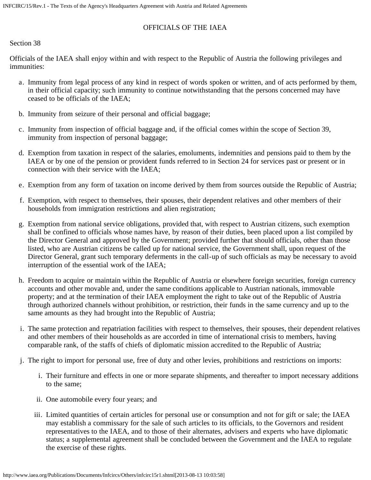## OFFICIALS OF THE IAEA

Section 38

Officials of the IAEA shall enjoy within and with respect to the Republic of Austria the following privileges and immunities:

- a. Immunity from legal process of any kind in respect of words spoken or written, and of acts performed by them, in their official capacity; such immunity to continue notwithstanding that the persons concerned may have ceased to be officials of the IAEA;
- b. Immunity from seizure of their personal and official baggage;
- c. Immunity from inspection of official baggage and, if the official comes within the scope of Section 39, immunity from inspection of personal baggage;
- d. Exemption from taxation in respect of the salaries, emoluments, indemnities and pensions paid to them by the IAEA or by one of the pension or provident funds referred to in Section 24 for services past or present or in connection with their service with the IAEA;
- e. Exemption from any form of taxation on income derived by them from sources outside the Republic of Austria;
- f. Exemption, with respect to themselves, their spouses, their dependent relatives and other members of their households from immigration restrictions and alien registration;
- g. Exemption from national service obligations, provided that, with respect to Austrian citizens, such exemption shall be confined to officials whose names have, by reason of their duties, been placed upon a list compiled by the Director General and approved by the Government; provided further that should officials, other than those listed, who are Austrian citizens be called up for national service, the Government shall, upon request of the Director General, grant such temporary deferments in the call-up of such officials as may be necessary to avoid interruption of the essential work of the IAEA;
- h. Freedom to acquire or maintain within the Republic of Austria or elsewhere foreign securities, foreign currency accounts and other movable and, under the same conditions applicable to Austrian nationals, immovable property; and at the termination of their IAEA employment the right to take out of the Republic of Austria through authorized channels without prohibition, or restriction, their funds in the same currency and up to the same amounts as they had brought into the Republic of Austria;
- i. The same protection and repatriation facilities with respect to themselves, their spouses, their dependent relatives and other members of their households as are accorded in time of international crisis to members, having comparable rank, of the staffs of chiefs of diplomatic mission accredited to the Republic of Austria;
- j. The right to import for personal use, free of duty and other levies, prohibitions and restrictions on imports:
	- i. Their furniture and effects in one or more separate shipments, and thereafter to import necessary additions to the same;
	- ii. One automobile every four years; and
	- iii. Limited quantities of certain articles for personal use or consumption and not for gift or sale; the IAEA may establish a commissary for the sale of such articles to its officials, to the Governors and resident representatives to the IAEA, and to those of their alternates, advisers and experts who have diplomatic status; a supplemental agreement shall be concluded between the Government and the IAEA to regulate the exercise of these rights.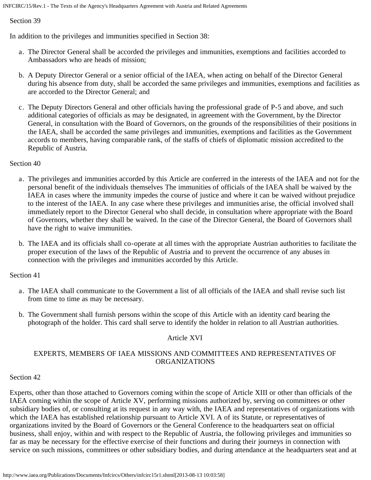### Section 39

In addition to the privileges and immunities specified in Section 38:

- a. The Director General shall be accorded the privileges and immunities, exemptions and facilities accorded to Ambassadors who are heads of mission;
- b. A Deputy Director General or a senior official of the IAEA, when acting on behalf of the Director General during his absence from duty, shall be accorded the same privileges and immunities, exemptions and facilities as are accorded to the Director General; and
- c. The Deputy Directors General and other officials having the professional grade of P-5 and above, and such additional categories of officials as may be designated, in agreement with the Government, by the Director General, in consultation with the Board of Governors, on the grounds of the responsibilities of their positions in the IAEA, shall be accorded the same privileges and immunities, exemptions and facilities as the Government accords to members, having comparable rank, of the staffs of chiefs of diplomatic mission accredited to the Republic of Austria.

## Section 40

- a. The privileges and immunities accorded by this Article are conferred in the interests of the IAEA and not for the personal benefit of the individuals themselves The immunities of officials of the IAEA shall be waived by the IAEA in cases where the immunity impedes the course of justice and where it can be waived without prejudice to the interest of the IAEA. In any case where these privileges and immunities arise, the official involved shall immediately report to the Director General who shall decide, in consultation where appropriate with the Board of Governors, whether they shall be waived. In the case of the Director General, the Board of Governors shall have the right to waive immunities.
- b. The IAEA and its officials shall co-operate at all times with the appropriate Austrian authorities to facilitate the proper execution of the laws of the Republic of Austria and to prevent the occurrence of any abuses in connection with the privileges and immunities accorded by this Article.

# Section 41

- a. The IAEA shall communicate to the Government a list of all officials of the IAEA and shall revise such list from time to time as may be necessary.
- b. The Government shall furnish persons within the scope of this Article with an identity card bearing the photograph of the holder. This card shall serve to identify the holder in relation to all Austrian authorities.

## Article XVI

## EXPERTS, MEMBERS OF IAEA MISSIONS AND COMMITTEES AND REPRESENTATIVES OF ORGANIZATIONS

## Section 42

Experts, other than those attached to Governors coming within the scope of Article XIII or other than officials of the IAEA coming within the scope of Article XV, performing missions authorized by, serving on committees or other subsidiary bodies of, or consulting at its request in any way with, the IAEA and representatives of organizations with which the IAEA has established relationship pursuant to Article XVI. A of its Statute, or representatives of organizations invited by the Board of Governors or the General Conference to the headquarters seat on official business, shall enjoy, within and with respect to the Republic of Austria, the following privileges and immunities so far as may be necessary for the effective exercise of their functions and during their journeys in connection with service on such missions, committees or other subsidiary bodies, and during attendance at the headquarters seat and at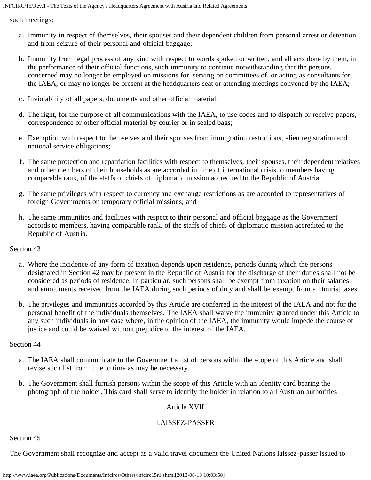such meetings:

- a. Immunity in respect of themselves, their spouses and their dependent children from personal arrest or detention and from seizure of their personal and official baggage;
- b. Immunity from legal process of any kind with respect to words spoken or written, and all acts done by them, in the performance of their official functions, such immunity to continue notwithstanding that the persons concerned may no longer be employed on missions for, serving on committees of, or acting as consultants for, the IAEA, or may no longer be present at the headquarters seat or attending meetings convened by the IAEA;
- c. Inviolability of all papers, documents and other official material;
- d. The right, for the purpose of all communications with the IAEA, to use codes and to dispatch or receive papers, correspondence or other official material by courier or in sealed bags;
- e. Exemption with respect to themselves and their spouses from immigration restrictions, alien registration and national service obligations;
- f. The same protection and repatriation facilities with respect to themselves, their spouses, their dependent relatives and other members of their households as are accorded in time of international crisis to members having comparable rank, of the staffs of chiefs of diplomatic mission accredited to the Republic of Austria;
- g. The same privileges with respect to currency and exchange restrictions as are accorded to representatives of foreign Governments on temporary official missions; and
- h. The same immunities and facilities with respect to their personal and official baggage as the Government accords to members, having comparable rank, of the staffs of chiefs of diplomatic mission accredited to the Republic of Austria.

## Section 43

- a. Where the incidence of any form of taxation depends upon residence, periods during which the persons designated in Section 42 may be present in the Republic of Austria for the discharge of their duties shall not be considered as periods of residence. In particular, such persons shall be exempt from taxation on their salaries and emoluments received from the IAEA during such periods of duty and shall be exempt from all tourist taxes.
- b. The privileges and immunities accorded by this Article are conferred in the interest of the IAEA and not for the personal benefit of the individuals themselves. The IAEA shall waive the immunity granted under this Article to any such individuals in any case where, in the opinion of the IAEA, the immunity would impede the course of justice and could be waived without prejudice to the interest of the IAEA.

#### Section 44

- a. The IAEA shall communicate to the Government a list of persons within the scope of this Article and shall revise such list from time to time as may be necessary.
- b. The Government shall furnish persons within the scope of this Article with an identity card bearing the photograph of the holder. This card shall serve to identify the holder in relation to all Austrian authorities

## Article XVII

## LAISSEZ-PASSER

#### Section 45

The Government shall recognize and accept as a valid travel document the United Nations laissez-passer issued to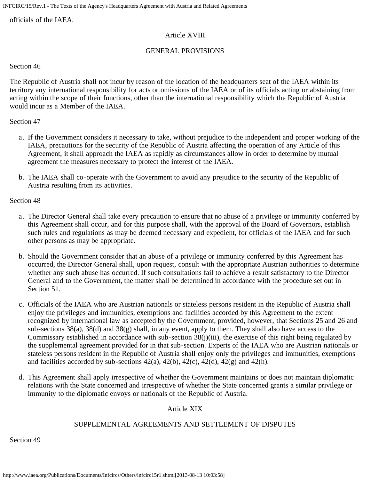officials of the IAEA.

# Article XVIII

### GENERAL PROVISIONS

Section 46

The Republic of Austria shall not incur by reason of the location of the headquarters seat of the IAEA within its territory any international responsibility for acts or omissions of the IAEA or of its officials acting or abstaining from acting within the scope of their functions, other than the international responsibility which the Republic of Austria would incur as a Member of the IAEA.

Section 47

- a. If the Government considers it necessary to take, without prejudice to the independent and proper working of the IAEA, precautions for the security of the Republic of Austria affecting the operation of any Article of this Agreement, it shall approach the IAEA as rapidly as circumstances allow in order to determine by mutual agreement the measures necessary to protect the interest of the IAEA.
- b. The IAEA shall co-operate with the Government to avoid any prejudice to the security of the Republic of Austria resulting from its activities.

Section 48

- a. The Director General shall take every precaution to ensure that no abuse of a privilege or immunity conferred by this Agreement shall occur, and for this purpose shall, with the approval of the Board of Governors, establish such rules and regulations as may be deemed necessary and expedient, for officials of the IAEA and for such other persons as may be appropriate.
- b. Should the Government consider that an abuse of a privilege or immunity conferred by this Agreement has occurred, the Director General shall, upon request, consult with the appropriate Austrian authorities to determine whether any such abuse has occurred. If such consultations fail to achieve a result satisfactory to the Director General and to the Government, the matter shall be determined in accordance with the procedure set out in Section 51.
- c. Officials of the IAEA who are Austrian nationals or stateless persons resident in the Republic of Austria shall enjoy the privileges and immunities, exemptions and facilities accorded by this Agreement to the extent recognized by international law as accepted by the Government, provided, however, that Sections 25 and 26 and sub-sections 38(a), 38(d) and 38(g) shall, in any event, apply to them. They shall also have access to the Commissary established in accordance with sub-section 38(j)(iii), the exercise of this right being regulated by the supplemental agreement provided for in that sub-section. Experts of the IAEA who are Austrian nationals or stateless persons resident in the Republic of Austria shall enjoy only the privileges and immunities, exemptions and facilities accorded by sub-sections  $42(a)$ ,  $42(b)$ ,  $42(c)$ ,  $42(d)$ ,  $42(g)$  and  $42(h)$ .
- d. This Agreement shall apply irrespective of whether the Government maintains or does not maintain diplomatic relations with the State concerned and irrespective of whether the State concerned grants a similar privilege or immunity to the diplomatic envoys or nationals of the Republic of Austria.

## Article XIX

## SUPPLEMENTAL AGREEMENTS AND SETTLEMENT OF DISPUTES

Section 49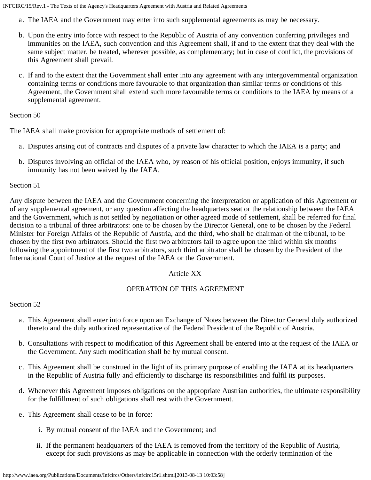- a. The IAEA and the Government may enter into such supplemental agreements as may be necessary.
- b. Upon the entry into force with respect to the Republic of Austria of any convention conferring privileges and immunities on the IAEA, such convention and this Agreement shall, if and to the extent that they deal with the same subject matter, be treated, wherever possible, as complementary; but in case of conflict, the provisions of this Agreement shall prevail.
- c. If and to the extent that the Government shall enter into any agreement with any intergovernmental organization containing terms or conditions more favourable to that organization than similar terms or conditions of this Agreement, the Government shall extend such more favourable terms or conditions to the IAEA by means of a supplemental agreement.

#### Section 50

The IAEA shall make provision for appropriate methods of settlement of:

- a. Disputes arising out of contracts and disputes of a private law character to which the IAEA is a party; and
- b. Disputes involving an official of the IAEA who, by reason of his official position, enjoys immunity, if such immunity has not been waived by the IAEA.

### Section 51

Any dispute between the IAEA and the Government concerning the interpretation or application of this Agreement or of any supplemental agreement, or any question affecting the headquarters seat or the relationship between the IAEA and the Government, which is not settled by negotiation or other agreed mode of settlement, shall be referred for final decision to a tribunal of three arbitrators: one to be chosen by the Director General, one to be chosen by the Federal Minister for Foreign Affairs of the Republic of Austria, and the third, who shall be chairman of the tribunal, to be chosen by the first two arbitrators. Should the first two arbitrators fail to agree upon the third within six months following the appointment of the first two arbitrators, such third arbitrator shall be chosen by the President of the International Court of Justice at the request of the IAEA or the Government.

## Article XX

## OPERATION OF THIS AGREEMENT

## Section 52

- a. This Agreement shall enter into force upon an Exchange of Notes between the Director General duly authorized thereto and the duly authorized representative of the Federal President of the Republic of Austria.
- b. Consultations with respect to modification of this Agreement shall be entered into at the request of the IAEA or the Government. Any such modification shall be by mutual consent.
- c. This Agreement shall be construed in the light of its primary purpose of enabling the IAEA at its headquarters in the Republic of Austria fully and efficiently to discharge its responsibilities and fulfil its purposes.
- d. Whenever this Agreement imposes obligations on the appropriate Austrian authorities, the ultimate responsibility for the fulfillment of such obligations shall rest with the Government.
- e. This Agreement shall cease to be in force:
	- i. By mutual consent of the IAEA and the Government; and
	- ii. If the permanent headquarters of the IAEA is removed from the territory of the Republic of Austria, except for such provisions as may be applicable in connection with the orderly termination of the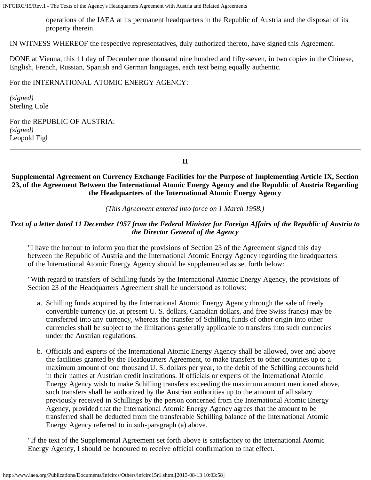operations of the IAEA at its permanent headquarters in the Republic of Austria and the disposal of its property therein.

IN WITNESS WHEREOF the respective representatives, duly authorized thereto, have signed this Agreement.

DONE at Vienna, this 11 day of December one thousand nine hundred and fifty-seven, in two copies in the Chinese, English, French, Russian, Spanish and German languages, each text being equally authentic.

For the INTERNATIONAL ATOMIC ENERGY AGENCY:

*(signed)* Sterling Cole

For the REPUBLIC OF AUSTRIA: *(signed)* Leopold Figl

**II**

### **Supplemental Agreement on Currency Exchange Facilities for the Purpose of Implementing Article IX, Section 23, of the Agreement Between the International Atomic Energy Agency and the Republic of Austria Regarding the Headquarters of the International Atomic Energy Agency**

*(This Agreement entered into force on 1 March 1958.)*

## *Text of a letter dated 11 December 1957 from the Federal Minister for Foreign Affairs of the Republic of Austria to the Director General of the Agency*

"I have the honour to inform you that the provisions of Section 23 of the Agreement signed this day between the Republic of Austria and the International Atomic Energy Agency regarding the headquarters of the International Atomic Energy Agency should be supplemented as set forth below:

"With regard to transfers of Schilling funds by the International Atomic Energy Agency, the provisions of Section 23 of the Headquarters Agreement shall be understood as follows:

- a. Schilling funds acquired by the International Atomic Energy Agency through the sale of freely convertible currency (ie. at present U. S. dollars, Canadian dollars, and free Swiss francs) may be transferred into any currency, whereas the transfer of Schilling funds of other origin into other currencies shall be subject to the limitations generally applicable to transfers into such currencies under the Austrian regulations.
- b. Officials and experts of the International Atomic Energy Agency shall be allowed, over and above the facilities granted by the Headquarters Agreement, to make transfers to other countries up to a maximum amount of one thousand U. S. dollars per year, to the debit of the Schilling accounts held in their names at Austrian credit institutions. If officials or experts of the International Atomic Energy Agency wish to make Schilling transfers exceeding the maximum amount mentioned above, such transfers shall be authorized by the Austrian authorities up to the amount of all salary previously received in Schillings by the person concerned from the International Atomic Energy Agency, provided that the International Atomic Energy Agency agrees that the amount to be transferred shall be deducted from the transferable Schilling balance of the International Atomic Energy Agency referred to in sub-paragraph (a) above.

"If the text of the Supplemental Agreement set forth above is satisfactory to the International Atomic Energy Agency, I should be honoured to receive official confirmation to that effect.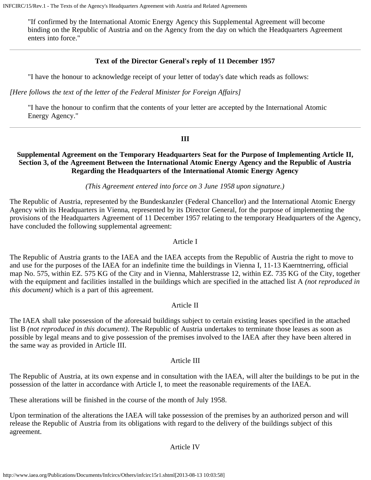"If confirmed by the International Atomic Energy Agency this Supplemental Agreement will become binding on the Republic of Austria and on the Agency from the day on which the Headquarters Agreement enters into force."

### **Text of the Director General's reply of 11 December 1957**

"I have the honour to acknowledge receipt of your letter of today's date which reads as follows:

*[Here follows the text of the letter of the Federal Minister for Foreign Affairs]*

"I have the honour to confirm that the contents of your letter are accepted by the International Atomic Energy Agency."

#### **III**

#### **Supplemental Agreement on the Temporary Headquarters Seat for the Purpose of Implementing Article II, Section 3, of the Agreement Between the International Atomic Energy Agency and the Republic of Austria Regarding the Headquarters of the International Atomic Energy Agency**

#### *(This Agreement entered into force on 3 June 1958 upon signature.)*

The Republic of Austria, represented by the Bundeskanzler (Federal Chancellor) and the International Atomic Energy Agency with its Headquarters in Vienna, represented by its Director General, for the purpose of implementing the provisions of the Headquarters Agreement of 11 December 1957 relating to the temporary Headquarters of the Agency, have concluded the following supplemental agreement:

#### Article I

The Republic of Austria grants to the IAEA and the IAEA accepts from the Republic of Austria the right to move to and use for the purposes of the IAEA for an indefinite time the buildings in Vienna I, 11-13 Kaerntnerring, official map No. 575, within EZ. 575 KG of the City and in Vienna, Mahlerstrasse 12, within EZ. 735 KG of the City, together with the equipment and facilities installed in the buildings which are specified in the attached list A *(not reproduced in this document)* which is a part of this agreement.

#### Article II

The IAEA shall take possession of the aforesaid buildings subject to certain existing leases specified in the attached list B *(not reproduced in this document)*. The Republic of Austria undertakes to terminate those leases as soon as possible by legal means and to give possession of the premises involved to the IAEA after they have been altered in the same way as provided in Article III.

#### Article III

The Republic of Austria, at its own expense and in consultation with the IAEA, will alter the buildings to be put in the possession of the latter in accordance with Article I, to meet the reasonable requirements of the IAEA.

These alterations will be finished in the course of the month of July 1958.

Upon termination of the alterations the IAEA will take possession of the premises by an authorized person and will release the Republic of Austria from its obligations with regard to the delivery of the buildings subject of this agreement.

#### Article IV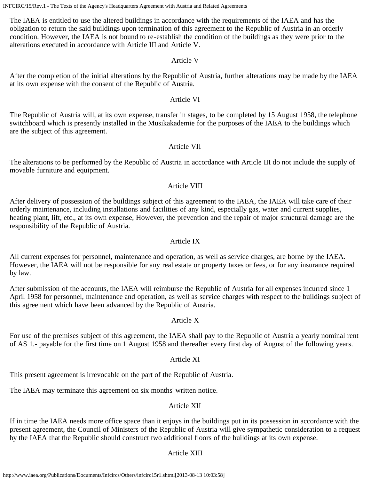The IAEA is entitled to use the altered buildings in accordance with the requirements of the IAEA and has the obligation to return the said buildings upon termination of this agreement to the Republic of Austria in an orderly condition. However, the IAEA is not bound to re-establish the condition of the buildings as they were prior to the alterations executed in accordance with Article III and Article V.

#### Article V

After the completion of the initial alterations by the Republic of Austria, further alterations may be made by the IAEA at its own expense with the consent of the Republic of Austria.

#### Article VI

The Republic of Austria will, at its own expense, transfer in stages, to be completed by 15 August 1958, the telephone switchboard which is presently installed in the Musikakademie for the purposes of the IAEA to the buildings which are the subject of this agreement.

#### Article VII

The alterations to be performed by the Republic of Austria in accordance with Article III do not include the supply of movable furniture and equipment.

#### Article VIII

After delivery of possession of the buildings subject of this agreement to the IAEA, the IAEA will take care of their orderly maintenance, including installations and facilities of any kind, especially gas, water and current supplies, heating plant, lift, etc., at its own expense, However, the prevention and the repair of major structural damage are the responsibility of the Republic of Austria.

#### Article IX

All current expenses for personnel, maintenance and operation, as well as service charges, are borne by the IAEA. However, the IAEA will not be responsible for any real estate or property taxes or fees, or for any insurance required by law.

After submission of the accounts, the IAEA will reimburse the Republic of Austria for all expenses incurred since 1 April 1958 for personnel, maintenance and operation, as well as service charges with respect to the buildings subject of this agreement which have been advanced by the Republic of Austria.

## Article X

For use of the premises subject of this agreement, the IAEA shall pay to the Republic of Austria a yearly nominal rent of AS 1.- payable for the first time on 1 August 1958 and thereafter every first day of August of the following years.

#### Article XI

This present agreement is irrevocable on the part of the Republic of Austria.

The IAEA may terminate this agreement on six months' written notice.

## Article XII

If in time the IAEA needs more office space than it enjoys in the buildings put in its possession in accordance with the present agreement, the Council of Ministers of the Republic of Austria will give sympathetic consideration to a request by the IAEA that the Republic should construct two additional floors of the buildings at its own expense.

#### Article XIII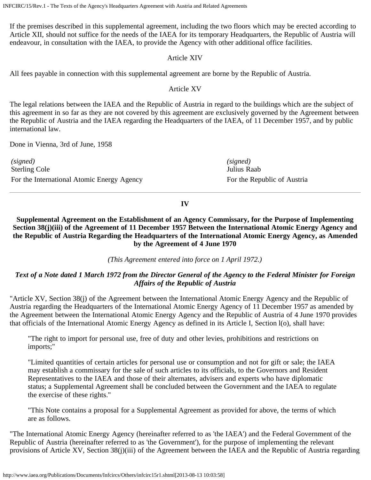If the premises described in this supplemental agreement, including the two floors which may be erected according to Article XII, should not suffice for the needs of the IAEA for its temporary Headquarters, the Republic of Austria will endeavour, in consultation with the IAEA, to provide the Agency with other additional office facilities.

#### Article XIV

All fees payable in connection with this supplemental agreement are borne by the Republic of Austria.

#### Article XV

The legal relations between the IAEA and the Republic of Austria in regard to the buildings which are the subject of this agreement in so far as they are not covered by this agreement are exclusively governed by the Agreement between the Republic of Austria and the IAEA regarding the Headquarters of the IAEA, of 11 December 1957, and by public international law.

Done in Vienna, 3rd of June, 1958

*(signed)* Sterling Cole For the International Atomic Energy Agency For the Republic of Austria

*(signed)* Julius Raab

#### **IV**

**Supplemental Agreement on the Establishment of an Agency Commissary, for the Purpose of Implementing Section 38(j)(iii) of the Agreement of 11 December 1957 Between the International Atomic Energy Agency and the Republic of Austria Regarding the Headquarters of the International Atomic Energy Agency, as Amended by the Agreement of 4 June 1970**

*(This Agreement entered into force on 1 April 1972.)*

## *Text of a Note dated 1 March 1972 from the Director General of the Agency to the Federal Minister for Foreign Affairs of the Republic of Austria*

"Article XV, Section 38(j) of the Agreement between the International Atomic Energy Agency and the Republic of Austria regarding the Headquarters of the International Atomic Energy Agency of 11 December 1957 as amended by the Agreement between the International Atomic Energy Agency and the Republic of Austria of 4 June 1970 provides that officials of the International Atomic Energy Agency as defined in its Article I, Section l(o), shall have:

"The right to import for personal use, free of duty and other levies, prohibitions and restrictions on imports;"

"Limited quantities of certain articles for personal use or consumption and not for gift or sale; the IAEA may establish a commissary for the sale of such articles to its officials, to the Governors and Resident Representatives to the IAEA and those of their alternates, advisers and experts who have diplomatic status; a Supplemental Agreement shall be concluded between the Government and the IAEA to regulate the exercise of these rights."

"This Note contains a proposal for a Supplemental Agreement as provided for above, the terms of which are as follows.

"The International Atomic Energy Agency (hereinafter referred to as 'the IAEA') and the Federal Government of the Republic of Austria (hereinafter referred to as 'the Government'), for the purpose of implementing the relevant provisions of Article XV, Section 38(j)(iii) of the Agreement between the IAEA and the Republic of Austria regarding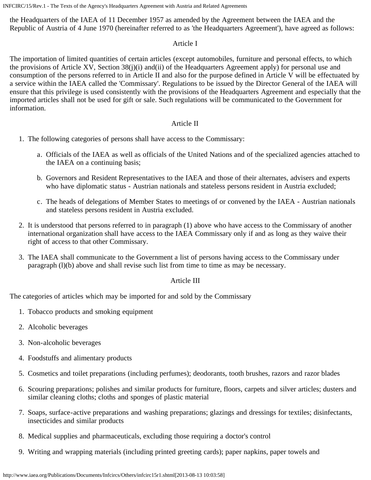the Headquarters of the IAEA of 11 December 1957 as amended by the Agreement between the IAEA and the Republic of Austria of 4 June 1970 (hereinafter referred to as 'the Headquarters Agreement'), have agreed as follows:

## Article I

The importation of limited quantities of certain articles (except automobiles, furniture and personal effects, to which the provisions of Article XV, Section 38(j)(i) and(ii) of the Headquarters Agreement apply) for personal use and consumption of the persons referred to in Article II and also for the purpose defined in Article V will be effectuated by a service within the IAEA called the 'Commissary'. Regulations to be issued by the Director General of the IAEA will ensure that this privilege is used consistently with the provisions of the Headquarters Agreement and especially that the imported articles shall not be used for gift or sale. Such regulations will be communicated to the Government for information.

## Article II

- 1. The following categories of persons shall have access to the Commissary:
	- a. Officials of the IAEA as well as officials of the United Nations and of the specialized agencies attached to the IAEA on a continuing basis;
	- b. Governors and Resident Representatives to the IAEA and those of their alternates, advisers and experts who have diplomatic status - Austrian nationals and stateless persons resident in Austria excluded;
	- c. The heads of delegations of Member States to meetings of or convened by the IAEA Austrian nationals and stateless persons resident in Austria excluded.
- 2. It is understood that persons referred to in paragraph (1) above who have access to the Commissary of another international organization shall have access to the IAEA Commissary only if and as long as they waive their right of access to that other Commissary.
- 3. The IAEA shall communicate to the Government a list of persons having access to the Commissary under paragraph (l)(b) above and shall revise such list from time to time as may be necessary.

## Article III

The categories of articles which may be imported for and sold by the Commissary

- 1. Tobacco products and smoking equipment
- 2. Alcoholic beverages
- 3. Non-alcoholic beverages
- 4. Foodstuffs and alimentary products
- 5. Cosmetics and toilet preparations (including perfumes); deodorants, tooth brushes, razors and razor blades
- 6. Scouring preparations; polishes and similar products for furniture, floors, carpets and silver articles; dusters and similar cleaning cloths; cloths and sponges of plastic material
- 7. Soaps, surface-active preparations and washing preparations; glazings and dressings for textiles; disinfectants, insecticides and similar products
- 8. Medical supplies and pharmaceuticals, excluding those requiring a doctor's control
- 9. Writing and wrapping materials (including printed greeting cards); paper napkins, paper towels and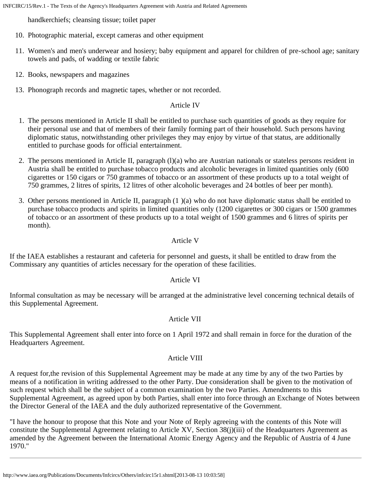handkerchiefs; cleansing tissue; toilet paper

- 10. Photographic material, except cameras and other equipment
- 11. Women's and men's underwear and hosiery; baby equipment and apparel for children of pre-school age; sanitary towels and pads, of wadding or textile fabric
- 12. Books, newspapers and magazines
- 13. Phonograph records and magnetic tapes, whether or not recorded.

## Article IV

- 1. The persons mentioned in Article II shall be entitled to purchase such quantities of goods as they require for their personal use and that of members of their family forming part of their household. Such persons having diplomatic status, notwithstanding other privileges they may enjoy by virtue of that status, are additionally entitled to purchase goods for official entertainment.
- 2. The persons mentioned in Article II, paragraph (l)(a) who are Austrian nationals or stateless persons resident in Austria shall be entitled to purchase tobacco products and alcoholic beverages in limited quantities only (600 cigarettes or 150 cigars or 750 grammes of tobacco or an assortment of these products up to a total weight of 750 grammes, 2 litres of spirits, 12 litres of other alcoholic beverages and 24 bottles of beer per month).
- 3. Other persons mentioned in Article II, paragraph (1 )(a) who do not have diplomatic status shall be entitled to purchase tobacco products and spirits in limited quantities only (1200 cigarettes or 300 cigars or 1500 grammes of tobacco or an assortment of these products up to a total weight of 1500 grammes and 6 litres of spirits per month).

## Article V

If the IAEA establishes a restaurant and cafeteria for personnel and guests, it shall be entitled to draw from the Commissary any quantities of articles necessary for the operation of these facilities.

## Article VI

Informal consultation as may be necessary will be arranged at the administrative level concerning technical details of this Supplemental Agreement.

## Article VII

This Supplemental Agreement shall enter into force on 1 April 1972 and shall remain in force for the duration of the Headquarters Agreement.

#### Article VIII

A request for,the revision of this Supplemental Agreement may be made at any time by any of the two Parties by means of a notification in writing addressed to the other Party. Due consideration shall be given to the motivation of such request which shall be the subject of a common examination by the two Parties. Amendments to this Supplemental Agreement, as agreed upon by both Parties, shall enter into force through an Exchange of Notes between the Director General of the IAEA and the duly authorized representative of the Government.

"I have the honour to propose that this Note and your Note of Reply agreeing with the contents of this Note will constitute the Supplemental Agreement relating to Article XV, Section 38(j)(iii) of the Headquarters Agreement as amended by the Agreement between the International Atomic Energy Agency and the Republic of Austria of 4 June 1970."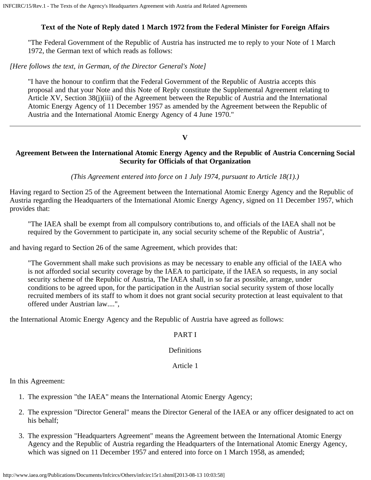## **Text of the Note of Reply dated 1 March 1972 from the Federal Minister for Foreign Affairs**

"The Federal Government of the Republic of Austria has instructed me to reply to your Note of 1 March 1972, the German text of which reads as follows:

### *[Here follows the text, in German, of the Director General's Note]*

"I have the honour to confirm that the Federal Government of the Republic of Austria accepts this proposal and that your Note and this Note of Reply constitute the Supplemental Agreement relating to Article XV, Section 38(j)(iii) of the Agreement between the Republic of Austria and the International Atomic Energy Agency of 11 December 1957 as amended by the Agreement between the Republic of Austria and the International Atomic Energy Agency of 4 June 1970."

## **V**

## **Agreement Between the International Atomic Energy Agency and the Republic of Austria Concerning Social Security for Officials of that Organization**

*(This Agreement entered into force on 1 July 1974, pursuant to Article 18(1).)*

Having regard to Section 25 of the Agreement between the International Atomic Energy Agency and the Republic of Austria regarding the Headquarters of the International Atomic Energy Agency, signed on 11 December 1957, which provides that:

"The IAEA shall be exempt from all compulsory contributions to, and officials of the IAEA shall not be required by the Government to participate in, any social security scheme of the Republic of Austria",

and having regard to Section 26 of the same Agreement, which provides that:

"The Government shall make such provisions as may be necessary to enable any official of the IAEA who is not afforded social security coverage by the IAEA to participate, if the IAEA so requests, in any social security scheme of the Republic of Austria, The IAEA shall, in so far as possible, arrange, under conditions to be agreed upon, for the participation in the Austrian social security system of those locally recruited members of its staff to whom it does not grant social security protection at least equivalent to that offered under Austrian law....",

the International Atomic Energy Agency and the Republic of Austria have agreed as follows:

## PART I

#### Definitions

## Article 1

In this Agreement:

- 1. The expression "the IAEA" means the International Atomic Energy Agency;
- 2. The expression "Director General" means the Director General of the IAEA or any officer designated to act on his behalf;
- 3. The expression "Headquarters Agreement" means the Agreement between the International Atomic Energy Agency and the Republic of Austria regarding the Headquarters of the International Atomic Energy Agency, which was signed on 11 December 1957 and entered into force on 1 March 1958, as amended;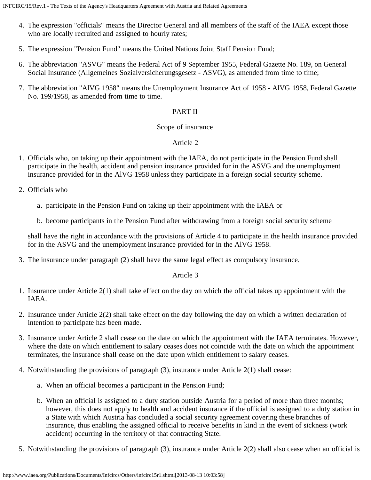- 4. The expression "officials" means the Director General and all members of the staff of the IAEA except those who are locally recruited and assigned to hourly rates;
- 5. The expression "Pension Fund" means the United Nations Joint Staff Pension Fund;
- 6. The abbreviation "ASVG" means the Federal Act of 9 September 1955, Federal Gazette No. 189, on General Social Insurance (Allgemeines Sozialversicherungsgesetz - ASVG), as amended from time to time;
- 7. The abbreviation "AlVG 1958" means the Unemployment Insurance Act of 1958 AlVG 1958, Federal Gazette No. 199/1958, as amended from time to time.

## PART II

### Scope of insurance

## Article 2

- 1. Officials who, on taking up their appointment with the IAEA, do not participate in the Pension Fund shall participate in the health, accident and pension insurance provided for in the ASVG and the unemployment insurance provided for in the AlVG 1958 unless they participate in a foreign social security scheme.
- 2. Officials who
	- a. participate in the Pension Fund on taking up their appointment with the IAEA or
	- b. become participants in the Pension Fund after withdrawing from a foreign social security scheme

shall have the right in accordance with the provisions of Article 4 to participate in the health insurance provided for in the ASVG and the unemployment insurance provided for in the AlVG 1958.

3. The insurance under paragraph (2) shall have the same legal effect as compulsory insurance.

## Article 3

- 1. Insurance under Article 2(1) shall take effect on the day on which the official takes up appointment with the IAEA.
- 2. Insurance under Article 2(2) shall take effect on the day following the day on which a written declaration of intention to participate has been made.
- 3. Insurance under Article 2 shall cease on the date on which the appointment with the IAEA terminates. However, where the date on which entitlement to salary ceases does not coincide with the date on which the appointment terminates, the insurance shall cease on the date upon which entitlement to salary ceases.
- 4. Notwithstanding the provisions of paragraph (3), insurance under Article 2(1) shall cease:
	- a. When an official becomes a participant in the Pension Fund;
	- b. When an official is assigned to a duty station outside Austria for a period of more than three months; however, this does not apply to health and accident insurance if the official is assigned to a duty station in a State with which Austria has concluded a social security agreement covering these branches of insurance, thus enabling the assigned official to receive benefits in kind in the event of sickness (work accident) occurring in the territory of that contracting State.
- 5. Notwithstanding the provisions of paragraph (3), insurance under Article 2(2) shall also cease when an official is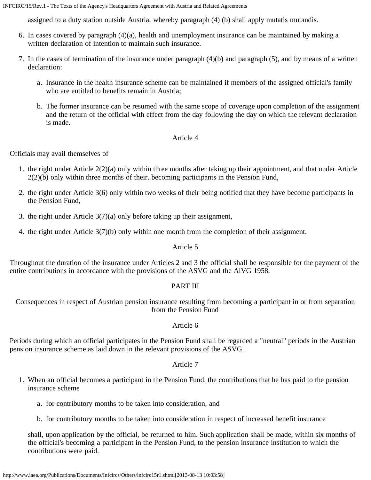assigned to a duty station outside Austria, whereby paragraph (4) (b) shall apply mutatis mutandis.

- 6. In cases covered by paragraph (4)(a), health and unemployment insurance can be maintained by making a written declaration of intention to maintain such insurance.
- 7. In the cases of termination of the insurance under paragraph (4)(b) and paragraph (5), and by means of a written declaration:
	- a. Insurance in the health insurance scheme can be maintained if members of the assigned official's family who are entitled to benefits remain in Austria;
	- b. The former insurance can be resumed with the same scope of coverage upon completion of the assignment and the return of the official with effect from the day following the day on which the relevant declaration is made.

### Article 4

Officials may avail themselves of

- 1. the right under Article 2(2)(a) only within three months after taking up their appointment, and that under Article 2(2)(b) only within three months of their. becoming participants in the Pension Fund,
- 2. the right under Article 3(6) only within two weeks of their being notified that they have become participants in the Pension Fund,
- 3. the right under Article  $3(7)(a)$  only before taking up their assignment,
- 4. the right under Article 3(7)(b) only within one month from the completion of their assignment.

#### Article 5

Throughout the duration of the insurance under Articles 2 and 3 the official shall be responsible for the payment of the entire contributions in accordance with the provisions of the ASVG and the AlVG 1958.

#### PART III

Consequences in respect of Austrian pension insurance resulting from becoming a participant in or from separation from the Pension Fund

#### Article 6

Periods during which an official participates in the Pension Fund shall be regarded a "neutral" periods in the Austrian pension insurance scheme as laid down in the relevant provisions of the ASVG.

#### Article 7

- 1. When an official becomes a participant in the Pension Fund, the contributions that he has paid to the pension insurance scheme
	- a. for contributory months to be taken into consideration, and
	- b. for contributory months to be taken into consideration in respect of increased benefit insurance

shall, upon application by the official, be returned to him. Such application shall be made, within six months of the official's becoming a participant in the Pension Fund, to the pension insurance institution to which the contributions were paid.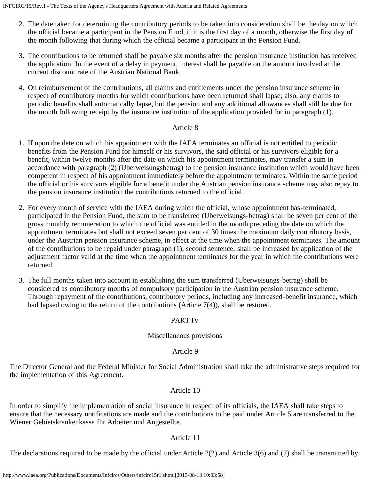- 2. The date taken for determining the contributory periods to be taken into consideration shall be the day on which the official became a participant in the Pension Fund, if it is the first day of a month, otherwise the first day of the month following that during which the official became a participant in the Pension Fund.
- 3. The contributions to be returned shall be payable six months after the pension insurance institution has received the application. In the event of a delay in payment, interest shall be payable on the amount involved at the current discount rate of the Austrian National Bank,
- 4. On reimbursement of the contributions, all claims and entitlements under the pension insurance scheme in respect of contributory months for which contributions have been returned shall lapse; also, any claims to periodic benefits shall automatically lapse, but the pension and any additional allowances shall still be due for the month following receipt by the insurance institution of the application provided for in paragraph (1).

#### Article 8

- 1. If upon the date on which his appointment with the IAEA terminates an official is not entitled to periodic benefits from the Pension Fund for himself or his survivors, the said official or his survivors eligible for a benefit, within twelve months after the date on which his appointment terminates, may transfer a sum in accordance with paragraph (2) (Uberweisungsbetrag) to the pension insurance institution which would have been competent in respect of his appointment immediately before the appointment terminates. Within the same period the official or his survivors eligible for a benefit under the Austrian pension insurance scheme may also repay to the pension insurance institution the contributions returned to the official.
- 2. For every month of service with the IAEA during which the official, whose appointment has-terminated, participated in the Pension Fund, the sum to be transferred (Uberweisungs-betrag) shall be seven per cent of the gross monthly remuneration to which the official was entitled in the month preceding the date on which the appointment terminates but shall not exceed seven per cent of 30 times the maximum daily contributory basis, under the Austrian pension insurance scheme, in effect at the time when the appointment terminates. The amount of the contributions to be repaid under paragraph (1), second sentence, shall be increased by application of the adjustment factor valid at the time when the appointment terminates for the year in which the contributions were returned.
- 3. The full months taken into account in establishing the sum transferred (Uberweisungs-betrag) shall be considered as contributory months of compulsory participation in the Austrian pension insurance scheme. Through repayment of the contributions, contributory periods, including any increased-benefit insurance, which had lapsed owing to the return of the contributions (Article 7(4)), shall be restored.

## PART IV

## Miscellaneous provisions

## Article 9

The Director General and the Federal Minister for Social Administration shall take the administrative steps required for the implementation of this Agreement.

## Article 10

In order to simplify the implementation of social insurance in respect of its officials, the IAEA shall take steps to ensure that the necessary notifications are made and the contributions to be paid under Article 5 are transferred to the Wiener Gebietskrankenkasse für Arbeiter und Angestellte.

## Article 11

The declarations required to be made by the official under Article 2(2) and Article 3(6) and (7) shall be transmitted by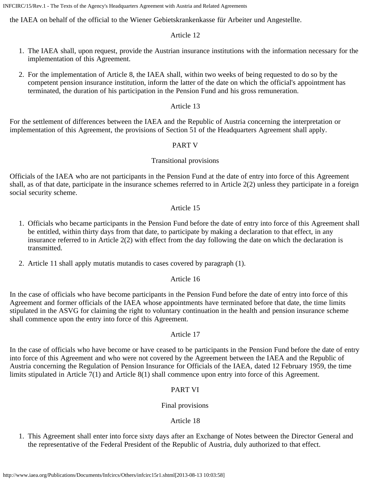the IAEA on behalf of the official to the Wiener Gebietskrankenkasse für Arbeiter und Angestellte.

### Article 12

- 1. The IAEA shall, upon request, provide the Austrian insurance institutions with the information necessary for the implementation of this Agreement.
- 2. For the implementation of Article 8, the IAEA shall, within two weeks of being requested to do so by the competent pension insurance institution, inform the latter of the date on which the official's appointment has terminated, the duration of his participation in the Pension Fund and his gross remuneration.

### Article 13

For the settlement of differences between the IAEA and the Republic of Austria concerning the interpretation or implementation of this Agreement, the provisions of Section 51 of the Headquarters Agreement shall apply.

### PART V

### Transitional provisions

Officials of the IAEA who are not participants in the Pension Fund at the date of entry into force of this Agreement shall, as of that date, participate in the insurance schemes referred to in Article 2(2) unless they participate in a foreign social security scheme.

### Article 15

- 1. Officials who became participants in the Pension Fund before the date of entry into force of this Agreement shall be entitled, within thirty days from that date, to participate by making a declaration to that effect, in any insurance referred to in Article 2(2) with effect from the day following the date on which the declaration is transmitted.
- 2. Article 11 shall apply mutatis mutandis to cases covered by paragraph (1).

#### Article 16

In the case of officials who have become participants in the Pension Fund before the date of entry into force of this Agreement and former officials of the IAEA whose appointments have terminated before that date, the time limits stipulated in the ASVG for claiming the right to voluntary continuation in the health and pension insurance scheme shall commence upon the entry into force of this Agreement.

#### Article 17

In the case of officials who have become or have ceased to be participants in the Pension Fund before the date of entry into force of this Agreement and who were not covered by the Agreement between the IAEA and the Republic of Austria concerning the Regulation of Pension Insurance for Officials of the IAEA, dated 12 February 1959, the time limits stipulated in Article 7(1) and Article 8(1) shall commence upon entry into force of this Agreement.

## PART VI

#### Final provisions

#### Article 18

1. This Agreement shall enter into force sixty days after an Exchange of Notes between the Director General and the representative of the Federal President of the Republic of Austria, duly authorized to that effect.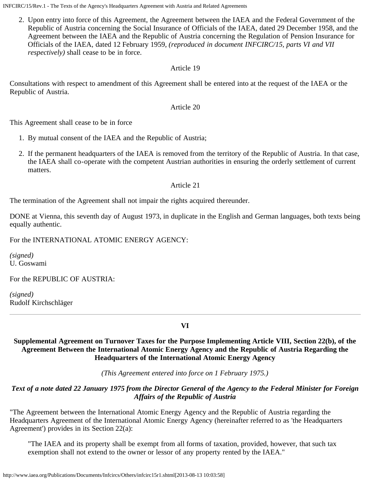2. Upon entry into force of this Agreement, the Agreement between the IAEA and the Federal Government of the Republic of Austria concerning the Social Insurance of Officials of the IAEA, dated 29 December 1958, and the Agreement between the IAEA and the Republic of Austria concerning the Regulation of Pension Insurance for Officials of the IAEA, dated 12 February 1959, *(reproduced in document INFCIRC/15, parts VI and VII respectively*) shall cease to be in force.

#### Article 19

Consultations with respect to amendment of this Agreement shall be entered into at the request of the IAEA or the Republic of Austria.

### Article 20

This Agreement shall cease to be in force

- 1. By mutual consent of the IAEA and the Republic of Austria;
- 2. If the permanent headquarters of the IAEA is removed from the territory of the Republic of Austria. In that case, the IAEA shall co-operate with the competent Austrian authorities in ensuring the orderly settlement of current matters.

## Article 21

The termination of the Agreement shall not impair the rights acquired thereunder.

DONE at Vienna, this seventh day of August 1973, in duplicate in the English and German languages, both texts being equally authentic.

For the INTERNATIONAL ATOMIC ENERGY AGENCY:

*(signed)* U. Goswami

For the REPUBLIC OF AUSTRIA:

*(signed)* Rudolf Kirchschläger

**VI**

**Supplemental Agreement on Turnover Taxes for the Purpose Implementing Article VIII, Section 22(b), of the Agreement Between the International Atomic Energy Agency and the Republic of Austria Regarding the Headquarters of the International Atomic Energy Agency**

*(This Agreement entered into force on 1 February 1975.)*

## *Text of a note dated 22 January 1975 from the Director General of the Agency to the Federal Minister for Foreign Affairs of the Republic of Austria*

"The Agreement between the International Atomic Energy Agency and the Republic of Austria regarding the Headquarters Agreement of the International Atomic Energy Agency (hereinafter referred to as 'the Headquarters Agreement') provides in its Section 22(a):

"The IAEA and its property shall be exempt from all forms of taxation, provided, however, that such tax exemption shall not extend to the owner or lessor of any property rented by the IAEA."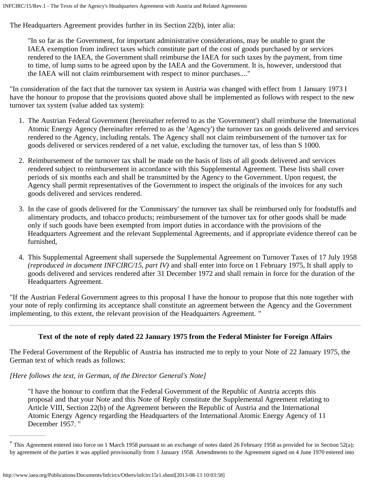The Headquarters Agreement provides further in its Section 22(b), inter alia:

"In so far as the Government, for important administrative considerations, may be unable to grant the IAEA exemption from indirect taxes which constitute part of the cost of goods purchased by or services rendered to the IAEA, the Government shall reimburse the IAEA for such taxes by the payment, from time to time, of lump sums to be agreed upon by the IAEA and the Government. It is, however, understood that the IAEA will not claim reimbursement with respect to minor purchases...."

"In consideration of the fact that the turnover tax system in Austria was changed with effect from 1 January 1973 I have the honour to propose that the provisions quoted above shall be implemented as follows with respect to the new turnover tax system (value added tax system):

- 1. The Austrian Federal Government (hereinafter referred to as the 'Government') shall reimburse the International Atomic Energy Agency (hereinafter referred to as the 'Agency') the turnover tax on goods delivered and services rendered to the Agency, including rentals. The Agency shall not claim reimbursement of the turnover tax for goods delivered or services rendered of a net value, excluding the turnover tax, of less than S 1000.
- 2. Reimbursement of the turnover tax shall be made on the basis of lists of all goods delivered and services rendered subject to reimbursement in accordance with this Supplemental Agreement. These lists shall cover periods of six months each and shall be transmitted by the Agency to the Government. Upon request, the Agency shall permit representatives of the Government to inspect the originals of the invoices for any such goods delivered and services rendered.
- 3. In the case of goods delivered for the 'Commissary' the turnover tax shall be reimbursed only for foodstuffs and alimentary products, and tobacco products; reimbursement of the turnover tax for other goods shall be made only if such goods have been exempted from import duties in accordance with the provisions of the Headquarters Agreement and the relevant Supplemental Agreements, and if appropriate evidence thereof can be furnished,
- 4. This Supplemental Agreement shall supersede the Supplemental Agreement on Turnover Taxes of 17 July 1958 *(reproduced in document INFCIRC/15, part IV)* and shall enter into force on 1 February 1975, It shall apply to goods delivered and services rendered after 31 December 1972 and shall remain in force for the duration of the Headquarters Agreement.

"If the Austrian Federal Government agrees to this proposal I have the honour to propose that this note together with your note of reply confirming its acceptance shall constitute an agreement between the Agency and the Government implementing, to this extent, the relevant provision of the Headquarters Agreement. "

## **Text of the note of reply dated 22 January 1975 from the Federal Minister for Foreign Affairs**

The Federal Government of the Republic of Austria has instructed me to reply to your Note of 22 January 1975, the German text of which reads as follows:

#### *[Here follows the text, in German, of the Director General's Note]*

"I have the honour to confirm that the Federal Government of the Republic of Austria accepts this proposal and that your Note and this Note of Reply constitute the Supplemental Agreement relating to Article VIII, Section 22(b) of the Agreement between the Republic of Austria and the International Atomic Energy Agency regarding the Headquarters of the International Atomic Energy Agency of 11 December 1957. "

<span id="page-28-0"></span> $*$  This Agreement entered into force on 1 March 1958 pursuant to an exchange of notes dated 26 February 1958 as provided for in Section 52(a); by agreement of the parties it was applied provisionally from 1 January 1958. Amendments to the Agreement signed on 4 June 1970 entered into

http://www.iaea.org/Publications/Documents/Infcircs/Others/infcirc15r1.shtml[2013-08-13 10:03:58]